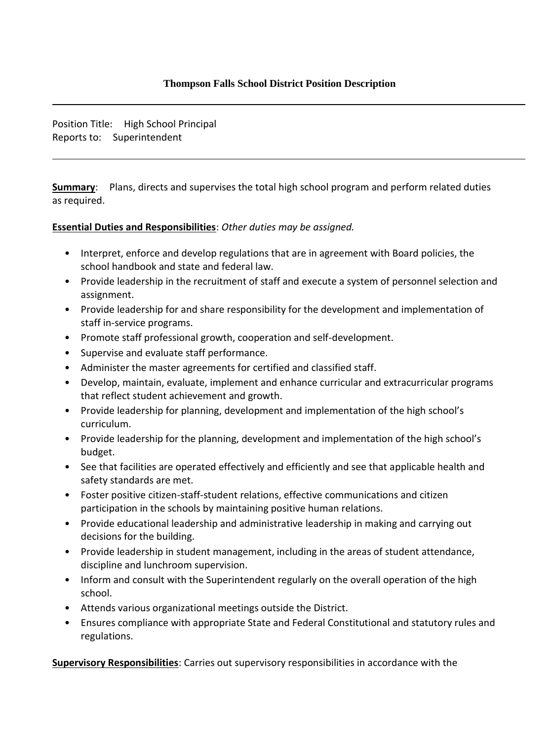Position Title: High School Principal Reports to: Superintendent

**Summary**: Plans, directs and supervises the total high school program and perform related duties as required.

## **Essential Duties and Responsibilities**: *Other duties may be assigned.*

- Interpret, enforce and develop regulations that are in agreement with Board policies, the school handbook and state and federal law.
- Provide leadership in the recruitment of staff and execute a system of personnel selection and assignment.
- Provide leadership for and share responsibility for the development and implementation of staff in-service programs.
- Promote staff professional growth, cooperation and self-development.
- Supervise and evaluate staff performance.
- Administer the master agreements for certified and classified staff.
- Develop, maintain, evaluate, implement and enhance curricular and extracurricular programs that reflect student achievement and growth.
- Provide leadership for planning, development and implementation of the high school's curriculum.
- Provide leadership for the planning, development and implementation of the high school's budget.
- See that facilities are operated effectively and efficiently and see that applicable health and safety standards are met.
- Foster positive citizen-staff-student relations, effective communications and citizen participation in the schools by maintaining positive human relations.
- Provide educational leadership and administrative leadership in making and carrying out decisions for the building.
- Provide leadership in student management, including in the areas of student attendance, discipline and lunchroom supervision.
- Inform and consult with the Superintendent regularly on the overall operation of the high school.
- Attends various organizational meetings outside the District.
- Ensures compliance with appropriate State and Federal Constitutional and statutory rules and regulations.

**Supervisory Responsibilities**: Carries out supervisory responsibilities in accordance with the